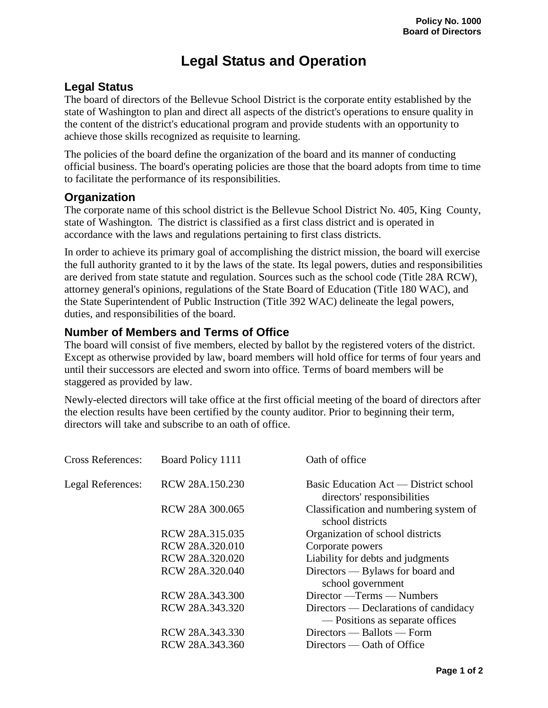## **Legal Status and Operation**

## **Legal Status**

The board of directors of the Bellevue School District is the corporate entity established by the state of Washington to plan and direct all aspects of the district's operations to ensure quality in the content of the district's educational program and provide students with an opportunity to achieve those skills recognized as requisite to learning.

The policies of the board define the organization of the board and its manner of conducting official business. The board's operating policies are those that the board adopts from time to time to facilitate the performance of its responsibilities.

## **Organization**

The corporate name of this school district is the Bellevue School District No. 405, King County, state of Washington*.* The district is classified as a first class district and is operated in accordance with the laws and regulations pertaining to first class districts.

In order to achieve its primary goal of accomplishing the district mission, the board will exercise the full authority granted to it by the laws of the state. Its legal powers, duties and responsibilities are derived from state statute and regulation. Sources such as the school code (Title 28A RCW), attorney general's opinions, regulations of the State Board of Education (Title 180 WAC), and the State Superintendent of Public Instruction (Title 392 WAC) delineate the legal powers, duties, and responsibilities of the board.

## **Number of Members and Terms of Office**

The board will consist of five members, elected by ballot by the registered voters of the district. Except as otherwise provided by law, board members will hold office for terms of four years and until their successors are elected and sworn into office*.* Terms of board members will be staggered as provided by law.

Newly-elected directors will take office at the first official meeting of the board of directors after the election results have been certified by the county auditor. Prior to beginning their term, directors will take and subscribe to an oath of office.

| <b>Cross References:</b> | Board Policy 1111 | Oath of office                                                           |
|--------------------------|-------------------|--------------------------------------------------------------------------|
| Legal References:        | RCW 28A.150.230   | Basic Education Act — District school<br>directors' responsibilities     |
|                          | RCW 28A 300.065   | Classification and numbering system of<br>school districts               |
|                          | RCW 28A.315.035   | Organization of school districts                                         |
|                          | RCW 28A.320.010   | Corporate powers                                                         |
|                          | RCW 28A.320.020   | Liability for debts and judgments                                        |
|                          | RCW 28A.320.040   | Directors — Bylaws for board and<br>school government                    |
|                          | RCW 28A.343.300   | Director — Terms — Numbers                                               |
|                          | RCW 28A.343.320   | Directors — Declarations of candidacy<br>— Positions as separate offices |
|                          | RCW 28A.343.330   | Directors — Ballots — Form                                               |
|                          | RCW 28A.343.360   | Directors — Oath of Office                                               |